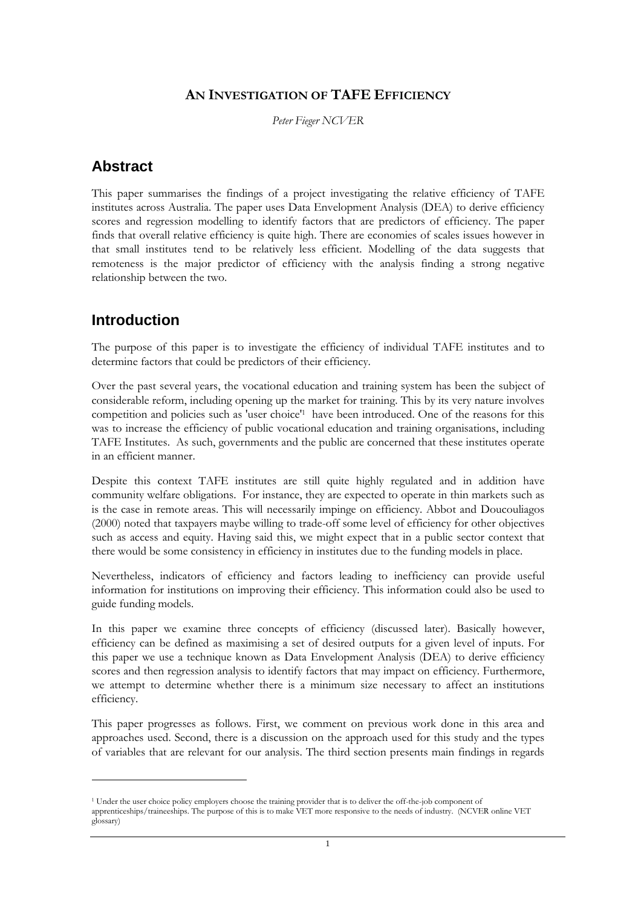### AN INVESTIGATION OF TAFE EFFICIENCY

Peter Fieger NCVER

## **Abstract**

This paper summarises the findings of a project investigating the relative efficiency of TAFE institutes across Australia. The paper uses Data Envelopment Analysis (DEA) to derive efficiency scores and regression modelling to identify factors that are predictors of efficiency. The paper finds that overall relative efficiency is quite high. There are economies of scales issues however in that small institutes tend to be relatively less efficient. Modelling of the data suggests that remoteness is the major predictor of efficiency with the analysis finding a strong negative relationship between the two.

## **Introduction**

 $\overline{a}$ 

The purpose of this paper is to investigate the efficiency of individual TAFE institutes and to determine factors that could be predictors of their efficiency.

Over the past several years, the vocational education and training system has been the subject of considerable reform, including opening up the market for training. This by its very nature involves competition and policies such as 'user choice'<sup>1</sup> have been introduced. One of the reasons for this was to increase the efficiency of public vocational education and training organisations, including TAFE Institutes. As such, governments and the public are concerned that these institutes operate in an efficient manner.

Despite this context TAFE institutes are still quite highly regulated and in addition have community welfare obligations. For instance, they are expected to operate in thin markets such as is the case in remote areas. This will necessarily impinge on efficiency. Abbot and Doucouliagos (2000) noted that taxpayers maybe willing to trade-off some level of efficiency for other objectives such as access and equity. Having said this, we might expect that in a public sector context that there would be some consistency in efficiency in institutes due to the funding models in place.

Nevertheless, indicators of efficiency and factors leading to inefficiency can provide useful information for institutions on improving their efficiency. This information could also be used to guide funding models.

In this paper we examine three concepts of efficiency (discussed later). Basically however, efficiency can be defined as maximising a set of desired outputs for a given level of inputs. For this paper we use a technique known as Data Envelopment Analysis (DEA) to derive efficiency scores and then regression analysis to identify factors that may impact on efficiency. Furthermore, we attempt to determine whether there is a minimum size necessary to affect an institutions efficiency.

This paper progresses as follows. First, we comment on previous work done in this area and approaches used. Second, there is a discussion on the approach used for this study and the types of variables that are relevant for our analysis. The third section presents main findings in regards

<sup>&</sup>lt;sup>1</sup> Under the user choice policy employers choose the training provider that is to deliver the off-the-job component of apprenticeships/traineeships. The purpose of this is to make VET more responsive to the needs of industry. (NCVER online VET glossary)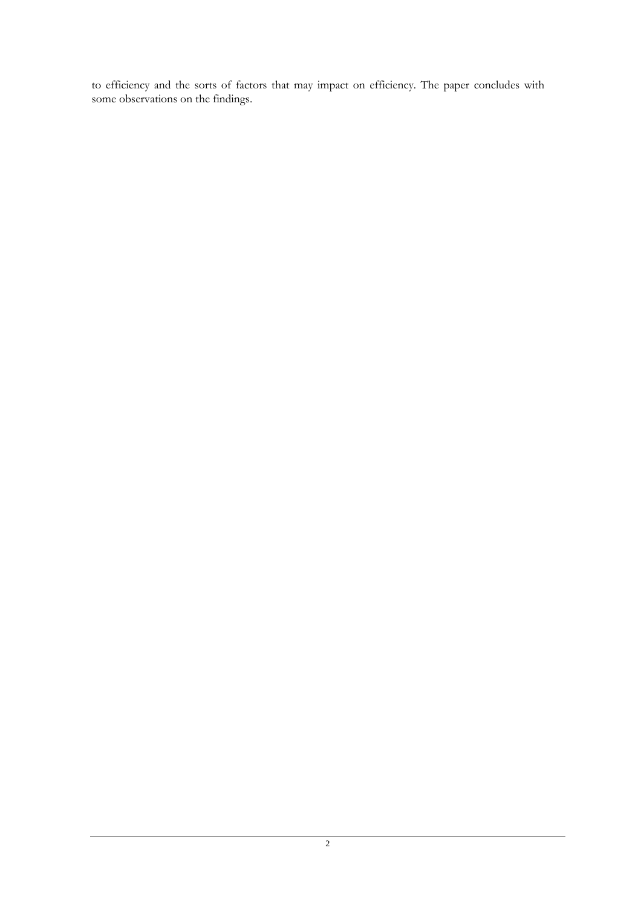to efficiency and the sorts of factors that may impact on efficiency. The paper concludes with some observations on the findings.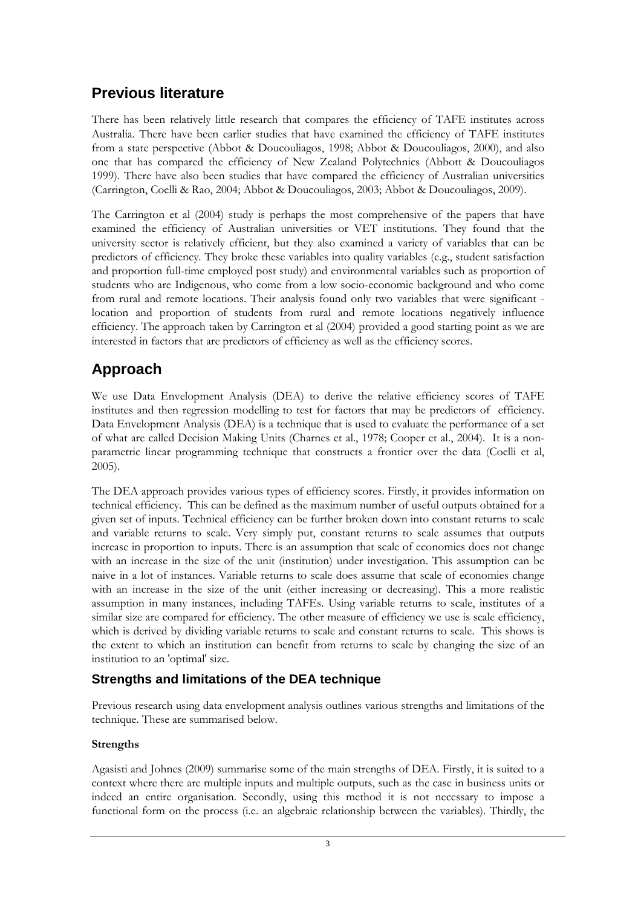# **Previous literature**

There has been relatively little research that compares the efficiency of TAFE institutes across Australia. There have been earlier studies that have examined the efficiency of TAFE institutes from a state perspective (Abbot & Doucouliagos, 1998; Abbot & Doucouliagos, 2000), and also one that has compared the efficiency of New Zealand Polytechnics (Abbott & Doucouliagos 1999). There have also been studies that have compared the efficiency of Australian universities (Carrington, Coelli & Rao, 2004; Abbot & Doucouliagos, 2003; Abbot & Doucouliagos, 2009).

The Carrington et al (2004) study is perhaps the most comprehensive of the papers that have examined the efficiency of Australian universities or VET institutions. They found that the university sector is relatively efficient, but they also examined a variety of variables that can be predictors of efficiency. They broke these variables into quality variables (e.g., student satisfaction and proportion full-time employed post study) and environmental variables such as proportion of students who are Indigenous, who come from a low socio-economic background and who come from rural and remote locations. Their analysis found only two variables that were significant location and proportion of students from rural and remote locations negatively influence efficiency. The approach taken by Carrington et al (2004) provided a good starting point as we are interested in factors that are predictors of efficiency as well as the efficiency scores.

# **Approach**

We use Data Envelopment Analysis (DEA) to derive the relative efficiency scores of TAFE institutes and then regression modelling to test for factors that may be predictors of efficiency. Data Envelopment Analysis (DEA) is a technique that is used to evaluate the performance of a set of what are called Decision Making Units (Charnes et al., 1978; Cooper et al., 2004). It is a nonparametric linear programming technique that constructs a frontier over the data (Coelli et al, 2005).

The DEA approach provides various types of efficiency scores. Firstly, it provides information on technical efficiency. This can be defined as the maximum number of useful outputs obtained for a given set of inputs. Technical efficiency can be further broken down into constant returns to scale and variable returns to scale. Very simply put, constant returns to scale assumes that outputs increase in proportion to inputs. There is an assumption that scale of economies does not change with an increase in the size of the unit (institution) under investigation. This assumption can be naive in a lot of instances. Variable returns to scale does assume that scale of economies change with an increase in the size of the unit (either increasing or decreasing). This a more realistic assumption in many instances, including TAFEs. Using variable returns to scale, institutes of a similar size are compared for efficiency. The other measure of efficiency we use is scale efficiency, which is derived by dividing variable returns to scale and constant returns to scale. This shows is the extent to which an institution can benefit from returns to scale by changing the size of an institution to an 'optimal' size.

## **Strengths and limitations of the DEA technique**

Previous research using data envelopment analysis outlines various strengths and limitations of the technique. These are summarised below.

### **Strengths**

Agasisti and Johnes (2009) summarise some of the main strengths of DEA. Firstly, it is suited to a context where there are multiple inputs and multiple outputs, such as the case in business units or indeed an entire organisation. Secondly, using this method it is not necessary to impose a functional form on the process (i.e. an algebraic relationship between the variables). Thirdly, the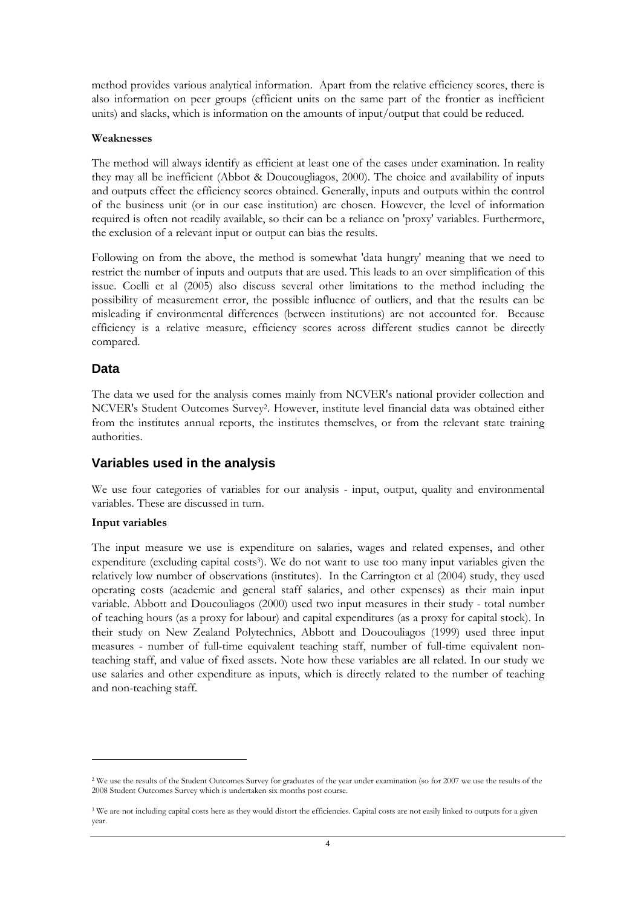method provides various analytical information. Apart from the relative efficiency scores, there is also information on peer groups (efficient units on the same part of the frontier as inefficient units) and slacks, which is information on the amounts of input/output that could be reduced.

#### Weaknesses

The method will always identify as efficient at least one of the cases under examination. In reality they may all be inefficient (Abbot & Doucougliagos, 2000). The choice and availability of inputs and outputs effect the efficiency scores obtained. Generally, inputs and outputs within the control of the business unit (or in our case institution) are chosen. However, the level of information required is often not readily available, so their can be a reliance on 'proxy' variables. Furthermore, the exclusion of a relevant input or output can bias the results.

Following on from the above, the method is somewhat 'data hungry' meaning that we need to restrict the number of inputs and outputs that are used. This leads to an over simplification of this issue. Coelli et al (2005) also discuss several other limitations to the method including the possibility of measurement error, the possible influence of outliers, and that the results can be misleading if environmental differences (between institutions) are not accounted for. Because efficiency is a relative measure, efficiency scores across different studies cannot be directly compared.

### **Data**

The data we used for the analysis comes mainly from NCVER's national provider collection and NCVER's Student Outcomes Survey<sup>2</sup> . However, institute level financial data was obtained either from the institutes annual reports, the institutes themselves, or from the relevant state training authorities.

### **Variables used in the analysis**

We use four categories of variables for our analysis - input, output, quality and environmental variables. These are discussed in turn.

#### Input variables

 $\overline{a}$ 

The input measure we use is expenditure on salaries, wages and related expenses, and other expenditure (excluding capital costs<sup>3</sup>). We do not want to use too many input variables given the relatively low number of observations (institutes). In the Carrington et al (2004) study, they used operating costs (academic and general staff salaries, and other expenses) as their main input variable. Abbott and Doucouliagos (2000) used two input measures in their study - total number of teaching hours (as a proxy for labour) and capital expenditures (as a proxy for capital stock). In their study on New Zealand Polytechnics, Abbott and Doucouliagos (1999) used three input measures - number of full-time equivalent teaching staff, number of full-time equivalent nonteaching staff, and value of fixed assets. Note how these variables are all related. In our study we use salaries and other expenditure as inputs, which is directly related to the number of teaching and non-teaching staff.

<sup>2</sup> We use the results of the Student Outcomes Survey for graduates of the year under examination (so for 2007 we use the results of the 2008 Student Outcomes Survey which is undertaken six months post course.

<sup>&</sup>lt;sup>3</sup> We are not including capital costs here as they would distort the efficiencies. Capital costs are not easily linked to outputs for a given year.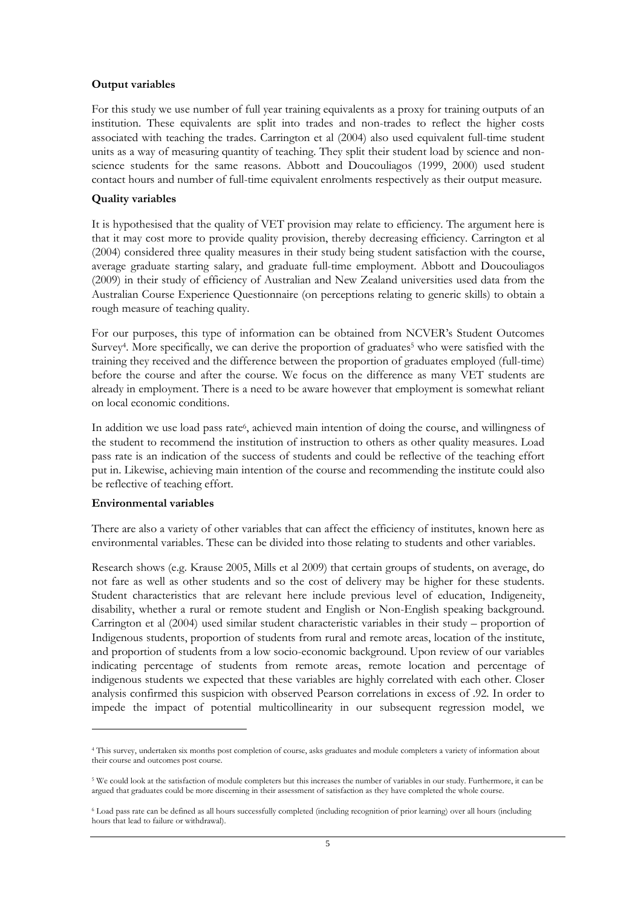#### Output variables

For this study we use number of full year training equivalents as a proxy for training outputs of an institution. These equivalents are split into trades and non-trades to reflect the higher costs associated with teaching the trades. Carrington et al (2004) also used equivalent full-time student units as a way of measuring quantity of teaching. They split their student load by science and nonscience students for the same reasons. Abbott and Doucouliagos (1999, 2000) used student contact hours and number of full-time equivalent enrolments respectively as their output measure.

#### Quality variables

It is hypothesised that the quality of VET provision may relate to efficiency. The argument here is that it may cost more to provide quality provision, thereby decreasing efficiency. Carrington et al (2004) considered three quality measures in their study being student satisfaction with the course, average graduate starting salary, and graduate full-time employment. Abbott and Doucouliagos (2009) in their study of efficiency of Australian and New Zealand universities used data from the Australian Course Experience Questionnaire (on perceptions relating to generic skills) to obtain a rough measure of teaching quality.

For our purposes, this type of information can be obtained from NCVER's Student Outcomes Survey<sup>4</sup>. More specifically, we can derive the proportion of graduates<sup>5</sup> who were satisfied with the training they received and the difference between the proportion of graduates employed (full-time) before the course and after the course. We focus on the difference as many VET students are already in employment. There is a need to be aware however that employment is somewhat reliant on local economic conditions.

In addition we use load pass rate<sup>6</sup>, achieved main intention of doing the course, and willingness of the student to recommend the institution of instruction to others as other quality measures. Load pass rate is an indication of the success of students and could be reflective of the teaching effort put in. Likewise, achieving main intention of the course and recommending the institute could also be reflective of teaching effort.

#### Environmental variables

 $\overline{a}$ 

There are also a variety of other variables that can affect the efficiency of institutes, known here as environmental variables. These can be divided into those relating to students and other variables.

Research shows (e.g. Krause 2005, Mills et al 2009) that certain groups of students, on average, do not fare as well as other students and so the cost of delivery may be higher for these students. Student characteristics that are relevant here include previous level of education, Indigeneity, disability, whether a rural or remote student and English or Non-English speaking background. Carrington et al (2004) used similar student characteristic variables in their study – proportion of Indigenous students, proportion of students from rural and remote areas, location of the institute, and proportion of students from a low socio-economic background. Upon review of our variables indicating percentage of students from remote areas, remote location and percentage of indigenous students we expected that these variables are highly correlated with each other. Closer analysis confirmed this suspicion with observed Pearson correlations in excess of .92. In order to impede the impact of potential multicollinearity in our subsequent regression model, we

<sup>4</sup> This survey, undertaken six months post completion of course, asks graduates and module completers a variety of information about their course and outcomes post course.

<sup>5</sup> We could look at the satisfaction of module completers but this increases the number of variables in our study. Furthermore, it can be argued that graduates could be more discerning in their assessment of satisfaction as they have completed the whole course.

<sup>6</sup> Load pass rate can be defined as all hours successfully completed (including recognition of prior learning) over all hours (including hours that lead to failure or withdrawal).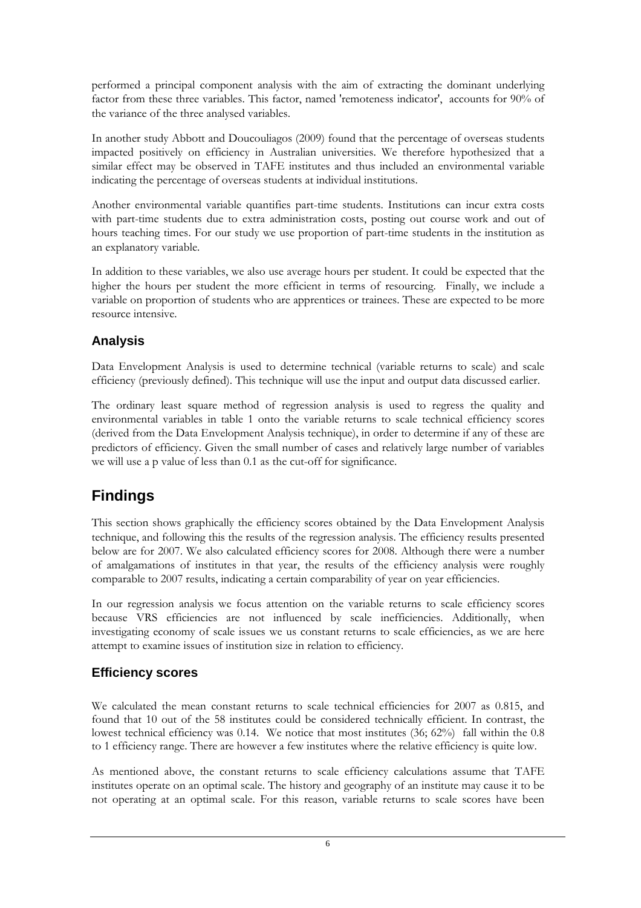performed a principal component analysis with the aim of extracting the dominant underlying factor from these three variables. This factor, named 'remoteness indicator', accounts for 90% of the variance of the three analysed variables.

In another study Abbott and Doucouliagos (2009) found that the percentage of overseas students impacted positively on efficiency in Australian universities. We therefore hypothesized that a similar effect may be observed in TAFE institutes and thus included an environmental variable indicating the percentage of overseas students at individual institutions.

Another environmental variable quantifies part-time students. Institutions can incur extra costs with part-time students due to extra administration costs, posting out course work and out of hours teaching times. For our study we use proportion of part-time students in the institution as an explanatory variable.

In addition to these variables, we also use average hours per student. It could be expected that the higher the hours per student the more efficient in terms of resourcing. Finally, we include a variable on proportion of students who are apprentices or trainees. These are expected to be more resource intensive.

## **Analysis**

Data Envelopment Analysis is used to determine technical (variable returns to scale) and scale efficiency (previously defined). This technique will use the input and output data discussed earlier.

The ordinary least square method of regression analysis is used to regress the quality and environmental variables in table 1 onto the variable returns to scale technical efficiency scores (derived from the Data Envelopment Analysis technique), in order to determine if any of these are predictors of efficiency. Given the small number of cases and relatively large number of variables we will use a p value of less than 0.1 as the cut-off for significance.

# **Findings**

This section shows graphically the efficiency scores obtained by the Data Envelopment Analysis technique, and following this the results of the regression analysis. The efficiency results presented below are for 2007. We also calculated efficiency scores for 2008. Although there were a number of amalgamations of institutes in that year, the results of the efficiency analysis were roughly comparable to 2007 results, indicating a certain comparability of year on year efficiencies.

In our regression analysis we focus attention on the variable returns to scale efficiency scores because VRS efficiencies are not influenced by scale inefficiencies. Additionally, when investigating economy of scale issues we us constant returns to scale efficiencies, as we are here attempt to examine issues of institution size in relation to efficiency.

## **Efficiency scores**

We calculated the mean constant returns to scale technical efficiencies for 2007 as 0.815, and found that 10 out of the 58 institutes could be considered technically efficient. In contrast, the lowest technical efficiency was 0.14. We notice that most institutes (36; 62%) fall within the 0.8 to 1 efficiency range. There are however a few institutes where the relative efficiency is quite low.

As mentioned above, the constant returns to scale efficiency calculations assume that TAFE institutes operate on an optimal scale. The history and geography of an institute may cause it to be not operating at an optimal scale. For this reason, variable returns to scale scores have been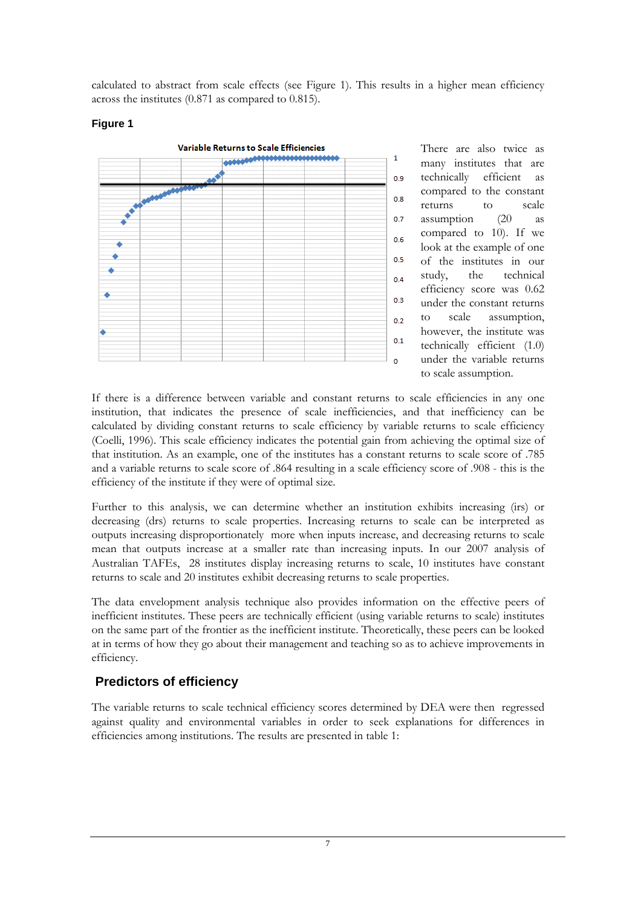calculated to abstract from scale effects (see Figure 1). This results in a higher mean efficiency across the institutes (0.871 as compared to 0.815).



**Figure 1** 

There are also twice as many institutes that are technically efficient as compared to the constant returns to scale assumption (20 as compared to 10). If we look at the example of one of the institutes in our study, the technical efficiency score was 0.62 under the constant returns to scale assumption, however, the institute was technically efficient (1.0) under the variable returns to scale assumption.

If there is a difference between variable and constant returns to scale efficiencies in any one institution, that indicates the presence of scale inefficiencies, and that inefficiency can be calculated by dividing constant returns to scale efficiency by variable returns to scale efficiency (Coelli, 1996). This scale efficiency indicates the potential gain from achieving the optimal size of that institution. As an example, one of the institutes has a constant returns to scale score of .785 and a variable returns to scale score of .864 resulting in a scale efficiency score of .908 - this is the efficiency of the institute if they were of optimal size.

Further to this analysis, we can determine whether an institution exhibits increasing (irs) or decreasing (drs) returns to scale properties. Increasing returns to scale can be interpreted as outputs increasing disproportionately more when inputs increase, and decreasing returns to scale mean that outputs increase at a smaller rate than increasing inputs. In our 2007 analysis of Australian TAFEs, 28 institutes display increasing returns to scale, 10 institutes have constant returns to scale and 20 institutes exhibit decreasing returns to scale properties.

The data envelopment analysis technique also provides information on the effective peers of inefficient institutes. These peers are technically efficient (using variable returns to scale) institutes on the same part of the frontier as the inefficient institute. Theoretically, these peers can be looked at in terms of how they go about their management and teaching so as to achieve improvements in efficiency.

## **Predictors of efficiency**

The variable returns to scale technical efficiency scores determined by DEA were then regressed against quality and environmental variables in order to seek explanations for differences in efficiencies among institutions. The results are presented in table 1: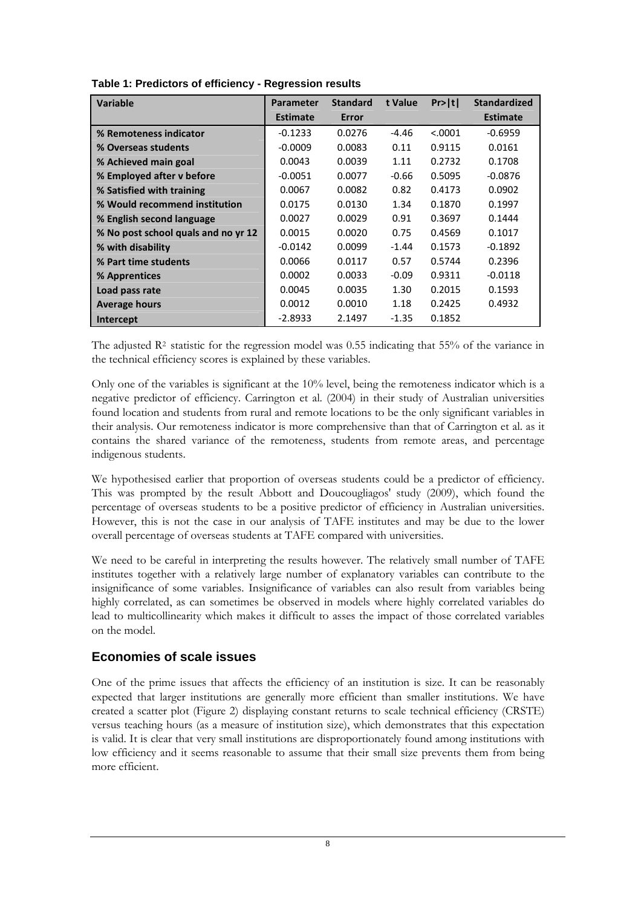| <b>Variable</b>                     | <b>Parameter</b> | <b>Standard</b> | t Value | Pr> t   | <b>Standardized</b> |
|-------------------------------------|------------------|-----------------|---------|---------|---------------------|
|                                     | <b>Estimate</b>  | Error           |         |         | <b>Estimate</b>     |
| % Remoteness indicator              | $-0.1233$        | 0.0276          | $-4.46$ | < .0001 | $-0.6959$           |
| % Overseas students                 | $-0.0009$        | 0.0083          | 0.11    | 0.9115  | 0.0161              |
| % Achieved main goal                | 0.0043           | 0.0039          | 1.11    | 0.2732  | 0.1708              |
| % Employed after v before           | $-0.0051$        | 0.0077          | $-0.66$ | 0.5095  | $-0.0876$           |
| % Satisfied with training           | 0.0067           | 0.0082          | 0.82    | 0.4173  | 0.0902              |
| % Would recommend institution       | 0.0175           | 0.0130          | 1.34    | 0.1870  | 0.1997              |
| % English second language           | 0.0027           | 0.0029          | 0.91    | 0.3697  | 0.1444              |
| % No post school quals and no yr 12 | 0.0015           | 0.0020          | 0.75    | 0.4569  | 0.1017              |
| % with disability                   | $-0.0142$        | 0.0099          | $-1.44$ | 0.1573  | $-0.1892$           |
| % Part time students                | 0.0066           | 0.0117          | 0.57    | 0.5744  | 0.2396              |
| % Apprentices                       | 0.0002           | 0.0033          | $-0.09$ | 0.9311  | $-0.0118$           |
| Load pass rate                      | 0.0045           | 0.0035          | 1.30    | 0.2015  | 0.1593              |
| <b>Average hours</b>                | 0.0012           | 0.0010          | 1.18    | 0.2425  | 0.4932              |
| Intercept                           | $-2.8933$        | 2.1497          | $-1.35$ | 0.1852  |                     |

**Table 1: Predictors of efficiency - Regression results** 

The adjusted  $\mathbb{R}^2$  statistic for the regression model was 0.55 indicating that 55% of the variance in the technical efficiency scores is explained by these variables.

Only one of the variables is significant at the 10% level, being the remoteness indicator which is a negative predictor of efficiency. Carrington et al. (2004) in their study of Australian universities found location and students from rural and remote locations to be the only significant variables in their analysis. Our remoteness indicator is more comprehensive than that of Carrington et al. as it contains the shared variance of the remoteness, students from remote areas, and percentage indigenous students.

We hypothesised earlier that proportion of overseas students could be a predictor of efficiency. This was prompted by the result Abbott and Doucougliagos' study (2009), which found the percentage of overseas students to be a positive predictor of efficiency in Australian universities. However, this is not the case in our analysis of TAFE institutes and may be due to the lower overall percentage of overseas students at TAFE compared with universities.

We need to be careful in interpreting the results however. The relatively small number of TAFE institutes together with a relatively large number of explanatory variables can contribute to the insignificance of some variables. Insignificance of variables can also result from variables being highly correlated, as can sometimes be observed in models where highly correlated variables do lead to multicollinearity which makes it difficult to asses the impact of those correlated variables on the model.

### **Economies of scale issues**

One of the prime issues that affects the efficiency of an institution is size. It can be reasonably expected that larger institutions are generally more efficient than smaller institutions. We have created a scatter plot (Figure 2) displaying constant returns to scale technical efficiency (CRSTE) versus teaching hours (as a measure of institution size), which demonstrates that this expectation is valid. It is clear that very small institutions are disproportionately found among institutions with low efficiency and it seems reasonable to assume that their small size prevents them from being more efficient.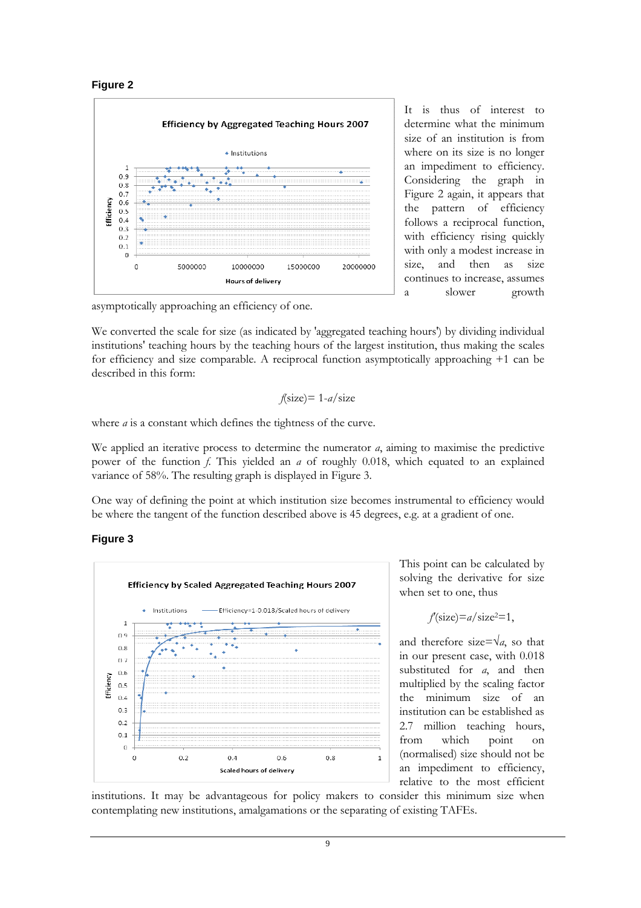



It is thus of interest to determine what the minimum size of an institution is from where on its size is no longer an impediment to efficiency. Considering the graph in Figure 2 again, it appears that the pattern of efficiency follows a reciprocal function, with efficiency rising quickly with only a modest increase in size, and then as size continues to increase, assumes a slower growth

asymptotically approaching an efficiency of one.

We converted the scale for size (as indicated by 'aggregated teaching hours') by dividing individual institutions' teaching hours by the teaching hours of the largest institution, thus making the scales for efficiency and size comparable. A reciprocal function asymptotically approaching +1 can be described in this form:

$$
f(\text{size}) = 1 - a/\text{size}
$$

where *a* is a constant which defines the tightness of the curve.

We applied an iterative process to determine the numerator  $a$ , aiming to maximise the predictive power of the function  $f$ . This yielded an  $a$  of roughly 0.018, which equated to an explained variance of 58%. The resulting graph is displayed in Figure 3.

One way of defining the point at which institution size becomes instrumental to efficiency would be where the tangent of the function described above is 45 degrees, e.g. at a gradient of one.

#### **Figure 3**



This point can be calculated by solving the derivative for size when set to one, thus

$$
f
$$
(size)= $a$ /size<sup>2</sup>=1,

and therefore size= $\sqrt{a}$ , so that in our present case, with 0.018 substituted for *a*, and then multiplied by the scaling factor the minimum size of an institution can be established as 2.7 million teaching hours, from which point on (normalised) size should not be an impediment to efficiency, relative to the most efficient

institutions. It may be advantageous for policy makers to consider this minimum size when contemplating new institutions, amalgamations or the separating of existing TAFEs.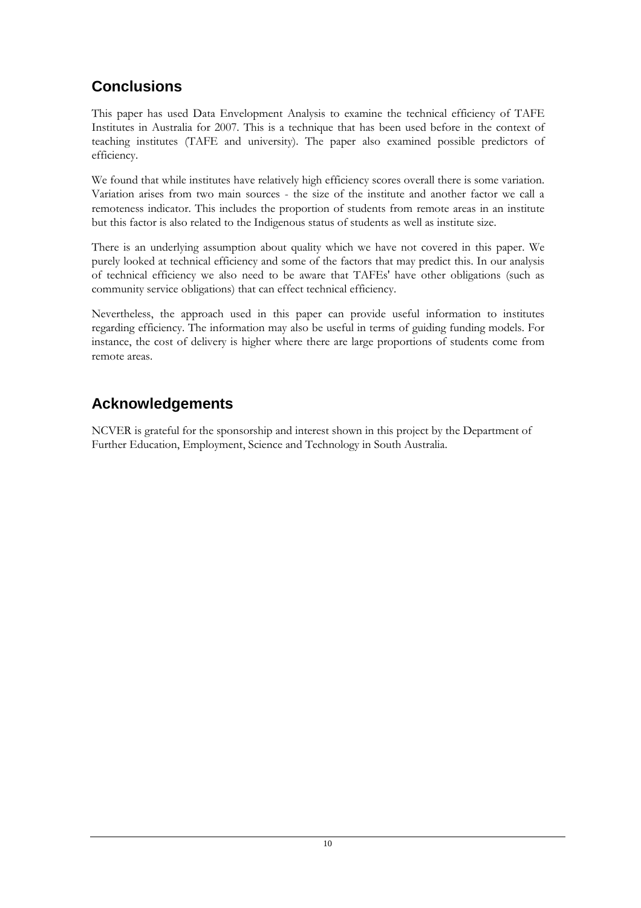# **Conclusions**

This paper has used Data Envelopment Analysis to examine the technical efficiency of TAFE Institutes in Australia for 2007. This is a technique that has been used before in the context of teaching institutes (TAFE and university). The paper also examined possible predictors of efficiency.

We found that while institutes have relatively high efficiency scores overall there is some variation. Variation arises from two main sources - the size of the institute and another factor we call a remoteness indicator. This includes the proportion of students from remote areas in an institute but this factor is also related to the Indigenous status of students as well as institute size.

There is an underlying assumption about quality which we have not covered in this paper. We purely looked at technical efficiency and some of the factors that may predict this. In our analysis of technical efficiency we also need to be aware that TAFEs' have other obligations (such as community service obligations) that can effect technical efficiency.

Nevertheless, the approach used in this paper can provide useful information to institutes regarding efficiency. The information may also be useful in terms of guiding funding models. For instance, the cost of delivery is higher where there are large proportions of students come from remote areas.

# **Acknowledgements**

NCVER is grateful for the sponsorship and interest shown in this project by the Department of Further Education, Employment, Science and Technology in South Australia.